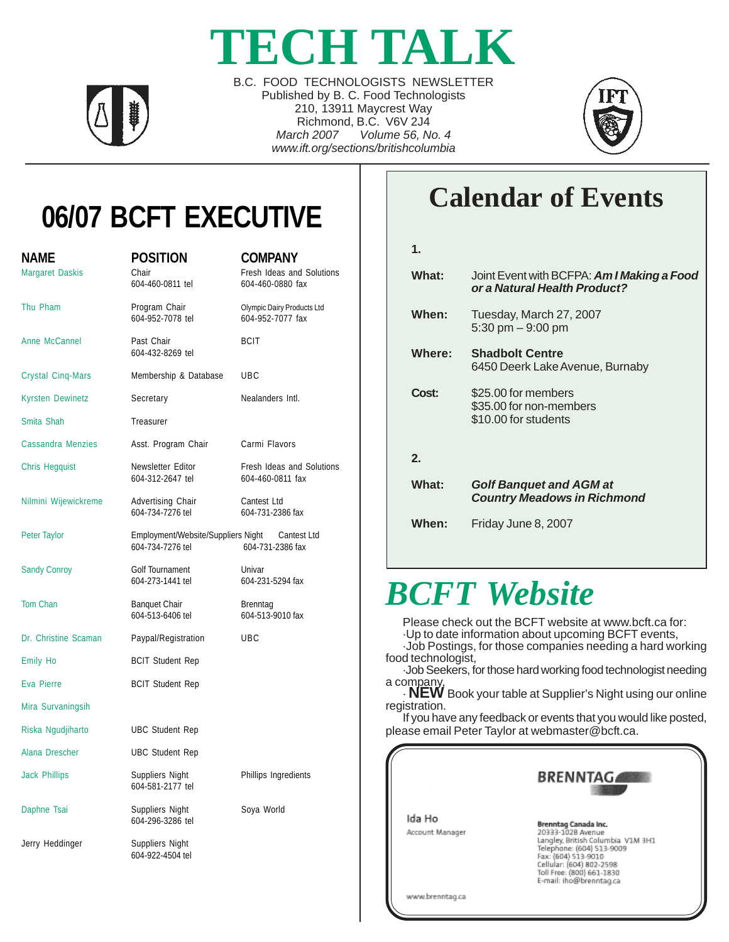# **TECH TALK**



B.C. FOOD TECHNOLOGISTS NEWSLETTER Published by B. C. Food Technologists 210, 13911 Maycrest Way Richmond, B.C. V6V 2J4 *March 2007 Volume 56, No. 4 www.ift.org/sections/britishcolumbia*



# **06/07 BCFT EXECUTIVE**

| <b>NAME</b><br><b>Margaret Daskis</b> | <b>POSITION</b><br>Chair<br>604-460-0811 tel           | <b>COMPANY</b><br>Fresh Ideas and Solutions<br>604-460-0880 fax |  |  |
|---------------------------------------|--------------------------------------------------------|-----------------------------------------------------------------|--|--|
| Thu Pham                              | Program Chair<br>604-952-7078 tel                      | Olympic Dairy Products Ltd<br>604-952-7077 fax                  |  |  |
| Anne McCannel                         | Past Chair<br>604-432-8269 tel                         | <b>BCIT</b>                                                     |  |  |
| <b>Crystal Cinq-Mars</b>              | Membership & Database                                  | <b>UBC</b>                                                      |  |  |
| Kyrsten Dewinetz                      | Secretary                                              | Nealanders Intl.                                                |  |  |
| Smita Shah                            | Treasurer                                              |                                                                 |  |  |
| <b>Cassandra Menzies</b>              | Asst. Program Chair                                    | Carmi Flavors                                                   |  |  |
| <b>Chris Hegquist</b>                 | Newsletter Editor<br>604-312-2647 tel                  | Fresh Ideas and Solutions<br>604-460-0811 fax                   |  |  |
| Nilmini Wijewickreme                  | Advertising Chair<br>604-734-7276 tel                  | Cantest Ltd<br>604-731-2386 fax                                 |  |  |
| Peter Taylor                          | Employment/Website/Suppliers Night<br>604-734-7276 tel | Cantest Ltd<br>604-731-2386 fax                                 |  |  |
| <b>Sandy Conroy</b>                   | Golf Tournament<br>604-273-1441 tel                    | Univar<br>604-231-5294 fax                                      |  |  |
| Tom Chan                              | <b>Banquet Chair</b><br>604-513-6406 tel               | Brenntag<br>604-513-9010 fax                                    |  |  |
| Dr. Christine Scaman                  | Paypal/Registration                                    | UBC                                                             |  |  |
| Emily Ho                              | <b>BCIT Student Rep</b>                                |                                                                 |  |  |
| Eva Pierre                            | <b>BCIT Student Rep</b>                                |                                                                 |  |  |
| Mira Survaningsih                     |                                                        |                                                                 |  |  |
| Riska Ngudjiharto                     | <b>UBC Student Rep</b>                                 |                                                                 |  |  |
| Alana Drescher                        | <b>UBC Student Rep</b>                                 |                                                                 |  |  |
| <b>Jack Phillips</b>                  | Suppliers Night<br>604-581-2177 tel                    | Phillips Ingredients                                            |  |  |
| Daphne Tsai                           | Suppliers Night<br>604-296-3286 tel                    | Soya World                                                      |  |  |
| Jerry Heddinger                       | Suppliers Night<br>604-922-4504 tel                    |                                                                 |  |  |

# **Calendar of Events**

| 1            |                                                                            |
|--------------|----------------------------------------------------------------------------|
| What:        | Joint Event with BCFPA: Am I Making a Food<br>or a Natural Health Product? |
| When:        | Tuesday, March 27, 2007<br>5:30 pm $-9:00$ pm                              |
| Where:       | <b>Shadbolt Centre</b><br>6450 Deerk Lake Avenue, Burnaby                  |
| Cost:        | \$25.00 for members<br>\$35.00 for non-members<br>\$10.00 for students     |
| $\mathbf{2}$ |                                                                            |
| What:        | <b>Golf Banquet and AGM at</b><br><b>Country Meadows in Richmond</b>       |
| When:        | Friday June 8, 2007                                                        |

# *BCFT Website*

Please check out the BCFT website at www.bcft.ca for:

·Up to date information about upcoming BCFT events,

·Job Postings, for those companies needing a hard working food technologist,

·Job Seekers, for those hard working food technologist needing a company,

· **NEW** Book your table at Supplier's Night using our online registration.

If you have any feedback or events that you would like posted, please email Peter Taylor at webmaster@bcft.ca.

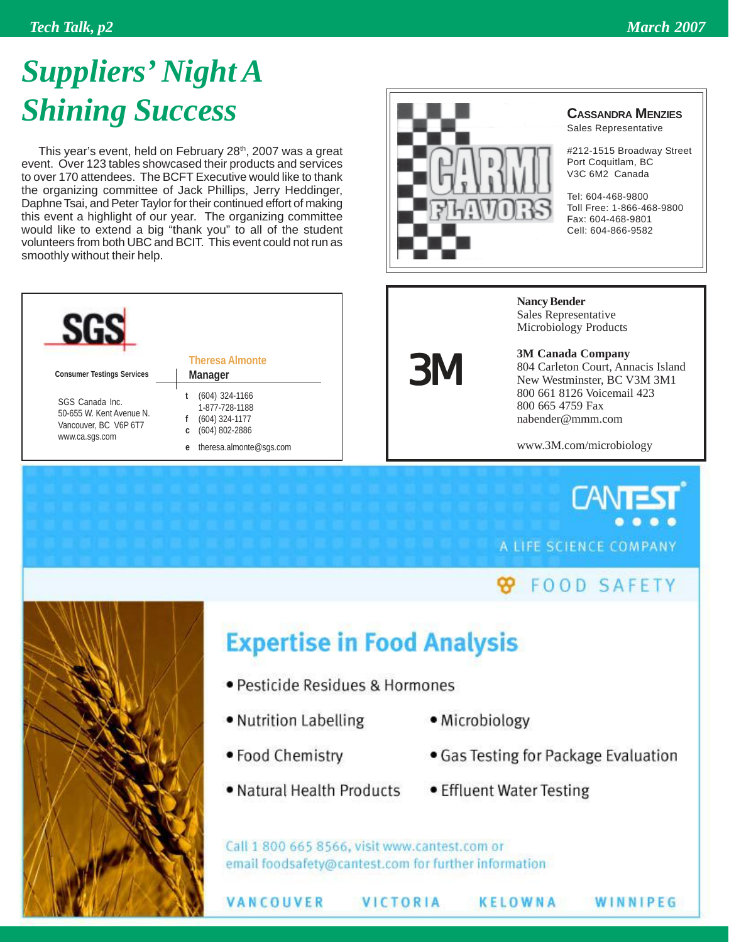# *Suppliers' Night A Shining Success*

This year's event, held on February 28<sup>th</sup>, 2007 was a great event. Over 123 tables showcased their products and services to over 170 attendees. The BCFT Executive would like to thank the organizing committee of Jack Phillips, Jerry Heddinger, Daphne Tsai, and Peter Taylor for their continued effort of making this event a highlight of our year. The organizing committee would like to extend a big "thank you" to all of the student volunteers from both UBC and BCIT. This event could not run as smoothly without their help.





3M

### **CASSANDRA MENZIES**

Sales Representative

#212-1515 Broadway Street Port Coquitlam, BC V3C 6M2 Canada

Tel: 604-468-9800 Toll Free: 1-866-468-9800 Fax: 604-468-9801 Cell: 604-866-9582

**Nancy Bender** Sales Representative Microbiology Products

**3M Canada Company** 804 Carleton Court, Annacis Island New Westminster, BC V3M 3M1 800 661 8126 Voicemail 423 800 665 4759 Fax nabender@mmm.com

www.3M.com/microbiology

**CANT** A LIFE SCIENCE COMPANY

### **99 FOOD SAFETY**

WINNIPEG



# **Expertise in Food Analysis**

- · Pesticide Residues & Hormones
- Nutrition Labelling
- · Microbiology
- Food Chemistry

VANCOUVER

- . Natural Health Products
- Gas Testing for Package Evaluation
- Effluent Water Testing

**KELOWNA** 

Call 1 800 665 8566, visit www.cantest.com or email foodsafety@cantest.com for further information

VICTORIA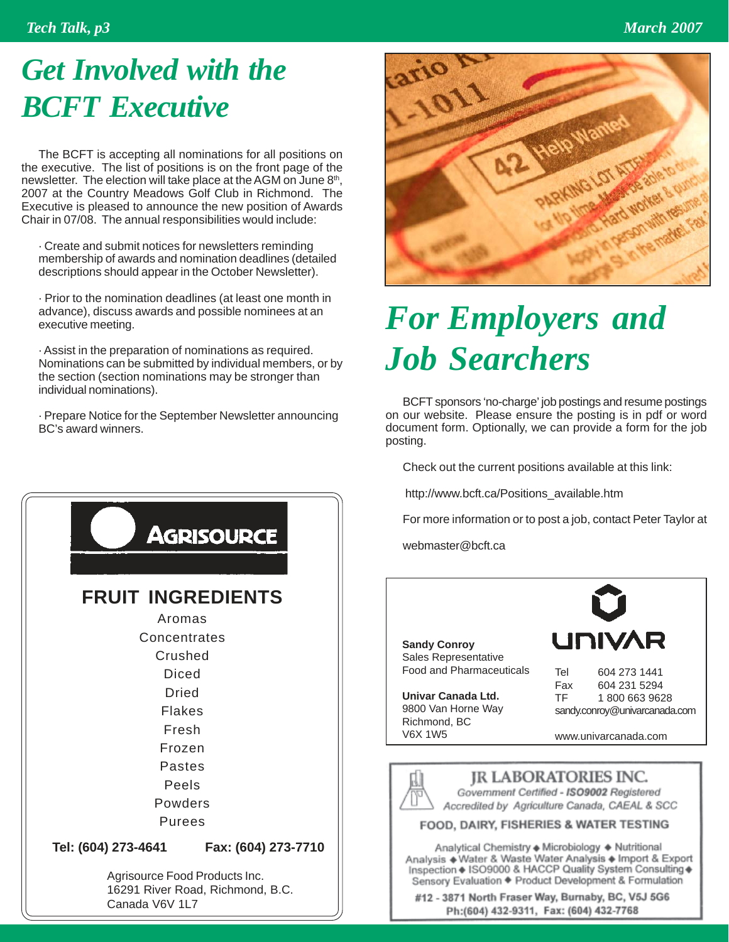### *Tech Talk, p3 March 2007*

# *Get Involved with the BCFT Executive*

The BCFT is accepting all nominations for all positions on the executive. The list of positions is on the front page of the newsletter. The election will take place at the AGM on June 8<sup>th</sup>, 2007 at the Country Meadows Golf Club in Richmond. The Executive is pleased to announce the new position of Awards Chair in 07/08. The annual responsibilities would include:

· Create and submit notices for newsletters reminding membership of awards and nomination deadlines (detailed descriptions should appear in the October Newsletter).

· Prior to the nomination deadlines (at least one month in advance), discuss awards and possible nominees at an executive meeting.

· Assist in the preparation of nominations as required. Nominations can be submitted by individual members, or by the section (section nominations may be stronger than individual nominations).

· Prepare Notice for the September Newsletter announcing BC's award winners.





# *For Employers and Job Searchers*

BCFT sponsors 'no-charge' job postings and resume postings on our website. Please ensure the posting is in pdf or word document form. Optionally, we can provide a form for the job posting.

Check out the current positions available at this link:

http://www.bcft.ca/Positions\_available.htm

For more information or to post a job, contact Peter Taylor at

webmaster@bcft.ca

**Sandy Conroy** Sales Representative Food and Pharmaceuticals

**Univar Canada Ltd.** 9800 Van Horne Way Richmond, BC V6X 1W5



Tel 604 273 1441 Fax 604 231 5294 TF 1 800 663 9628 sandy.conroy@univarcanada.com

www.univarcanada.com



**IR LABORATORIES INC.** Government Certified - ISO9002 Registered Accredited by Agriculture Canada, CAEAL & SCC

### FOOD, DAIRY, FISHERIES & WATER TESTING

Analytical Chemistry + Microbiology + Nutritional Analysis + Water & Waste Water Analysis + Import & Export Inspection + ISO9000 & HACCP Quality System Consulting + Sensory Evaluation + Product Development & Formulation

#12 - 3871 North Fraser Way, Burnaby, BC, V5J 5G6 Ph:(604) 432-9311, Fax: (604) 432-7768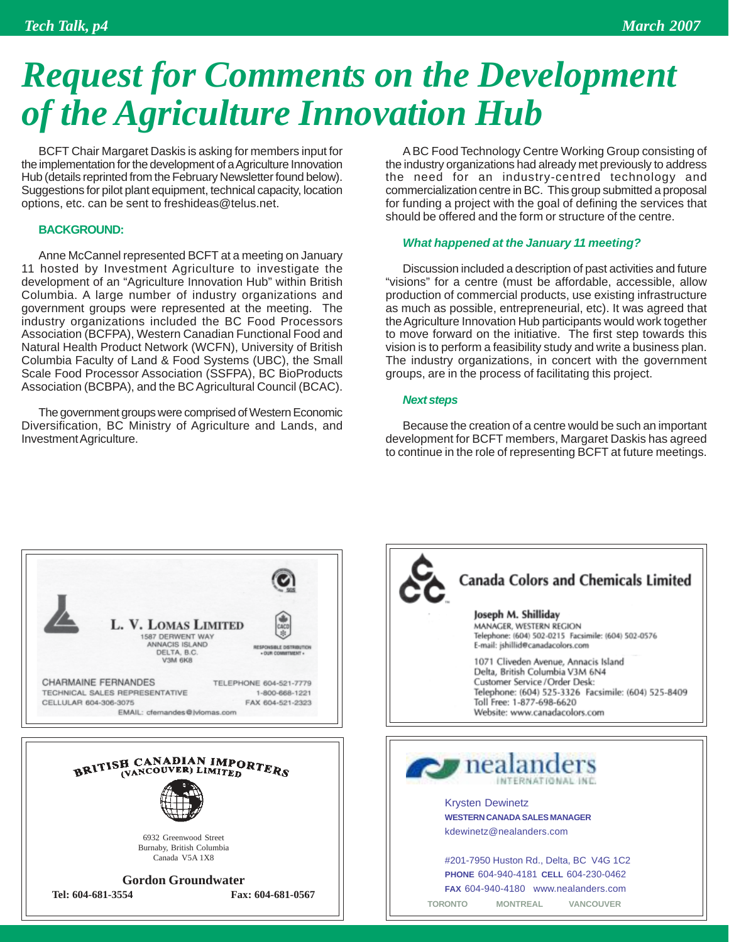# *Request for Comments on the Development of the Agriculture Innovation Hub*

BCFT Chair Margaret Daskis is asking for members input for the implementation for the development of a Agriculture Innovation Hub (details reprinted from the February Newsletter found below). Suggestions for pilot plant equipment, technical capacity, location options, etc. can be sent to freshideas@telus.net.

### **BACKGROUND:**

Anne McCannel represented BCFT at a meeting on January 11 hosted by Investment Agriculture to investigate the development of an "Agriculture Innovation Hub" within British Columbia. A large number of industry organizations and government groups were represented at the meeting. The industry organizations included the BC Food Processors Association (BCFPA), Western Canadian Functional Food and Natural Health Product Network (WCFN), University of British Columbia Faculty of Land & Food Systems (UBC), the Small Scale Food Processor Association (SSFPA), BC BioProducts Association (BCBPA), and the BC Agricultural Council (BCAC).

The government groups were comprised of Western Economic Diversification, BC Ministry of Agriculture and Lands, and Investment Agriculture.

A BC Food Technology Centre Working Group consisting of the industry organizations had already met previously to address the need for an industry-centred technology and commercialization centre in BC. This group submitted a proposal for funding a project with the goal of defining the services that should be offered and the form or structure of the centre.

### *What happened at the January 11 meeting?*

Discussion included a description of past activities and future "visions" for a centre (must be affordable, accessible, allow production of commercial products, use existing infrastructure as much as possible, entrepreneurial, etc). It was agreed that the Agriculture Innovation Hub participants would work together to move forward on the initiative. The first step towards this vision is to perform a feasibility study and write a business plan. The industry organizations, in concert with the government groups, are in the process of facilitating this project.

### *Next steps*

Because the creation of a centre would be such an important development for BCFT members, Margaret Daskis has agreed to continue in the role of representing BCFT at future meetings.





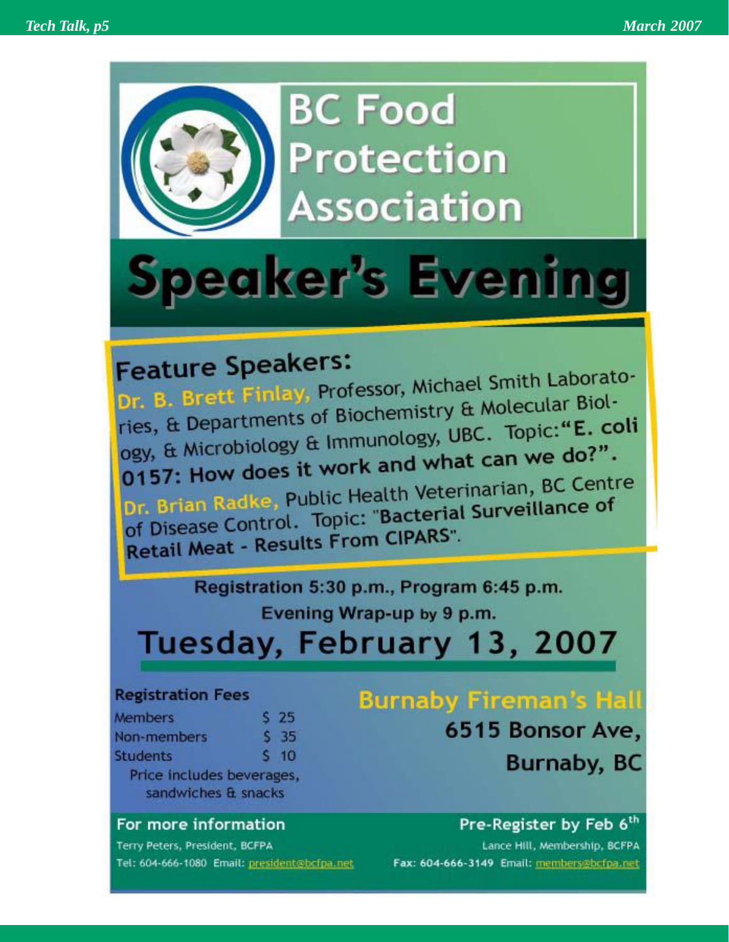

**BC Food Protection Association** 

# Speaker's Evening

# **Feature Speakers:**

Feature Speakers.<br>Dr. B. Brett Finlay, Professor, Michael Smith Laborato-Dr. B. Brett Finlay, Protessor, Michael Dr. Biology<br>ries, & Departments of Biochemistry & Molecular Biolries, & Departments of Biochemistry & Moore."E. coli<br>ogy, & Microbiology & Immunology, UBC. Topic:"E. coli ogy, & Microbiology & Immunology, Ober<br>0157: How does it work and what can we do?".

O157: How does it work are<br>Dr. Brian Radke, Public Health Veterinarian, BC Centre Dr. Brian Radke, Public Health Vetermanum,<br>of Disease Control. Topic: "Bacterial Surveillance of of Disease Control: represent CIPARS".

> Registration 5:30 p.m., Program 6:45 p.m. Evening Wrap-up by 9 p.m.

Tuesday, February 13, 2007

### **Registration Fees**

| Members                  | S 25     |
|--------------------------|----------|
| Non-members              | S 35     |
| Students                 | $5 \t10$ |
| Drive includes houseways |          |

sandwiches & snacks

### For more information

Terry Peters, President, BCFPA Tel: 604-666-1080 Email: president@bcfpa.net

## **Burnaby Fireman's Hall**

6515 Bonsor Ave,

**Burnaby, BC** 

### Pre-Register by Feb 6th

Lance Hill, Membership, BCFPA Fax: 604-666-3149 Email: members@bcfpa.net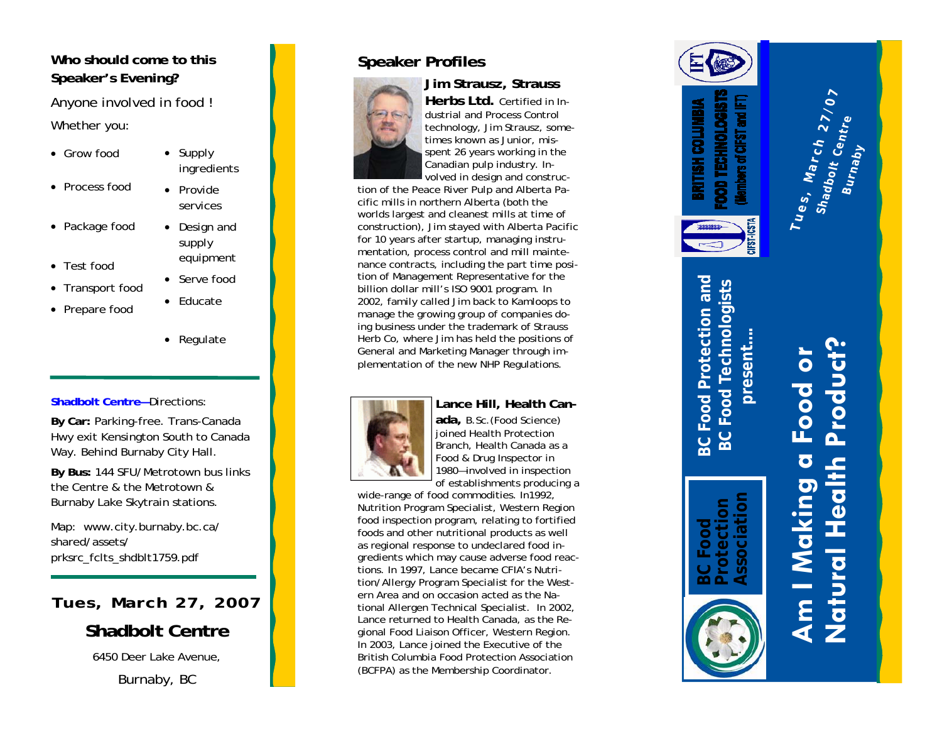### **Who should come to this Speaker's Evening?**

Anyone involved in food ! Whether you:

- Grow food
- Process food
- Package food
- Test food
- Transport food
- Prepare food
- Provide
- Supply ingredients
	- services
	- Design and supply equipment
- Serve food
- Educate
- Regulate

### **Shadbolt Centre—**Directions:

**By Car:** Parking-free. Trans-Canada Hwy exit Kensington South to Canada Way. Behind Burnaby City Hall.

**By Bus:** 144 SFU/Metrotown bus links the Centre & the Metrotown & Burnaby Lake Skytrain stations.

Map: www.city.burnaby.bc.ca/ shared/assets/prksrc\_fclts\_shdblt1759.pdf

6450 Deer Lake Avenue,

Burnaby, BC

### **Speaker Profiles**



### **Jim Strausz, Strauss**



**Herbs Ltd.** Certified in Industrial and Process Control technology, Jim Strausz, sometimes known as Junior, misspent 26 years working in the Canadian pulp industry. In-

volved in design and construction of the Peace River Pulp and Alberta Pacific mills in northern Alberta (both the worlds largest and cleanest mills at time of construction), Jim stayed with Alberta Pacific for 10 years after startup, managing instrumentation, process control and mill maintenance contracts, including the part time position of Management Representative for the billion dollar mill's ISO 9001 program. In 2002, family called Jim back to Kamloops to manage the growing group of companies doing business under the trademark of Strauss Herb Co, where Jim has held the positions of General and Marketing Manager through implementation of the new NHP Regulations.



### **Lance Hill, Health Can-**

**ada,** B.Sc.(Food Science) joined Health Protection Branch, Health Canada as a Food & Drug Inspector in 1980—involved in inspection of establishments producing a

Naturbott Centre – Directions:<br>
Natural Health Can-<br>
Hermentation of the new NHP Regulations.<br>
Natural Health Can-<br>
Natural Health Can-<br>
Natural Health Can-<br>
Natural Health Can-<br>
Natural Health Can-<br>
Natural Health Can-<br> wide-range of food commodities. In1992, Nutrition Program Specialist, Western Region food inspection program, relating to fortified foods and other nutritional products as well as regional response to undeclared food ingredients which may cause adverse food reactions. In 1997, Lance became CFIA's Nutrition/Allergy Program Specialist for the Western Area and on occasion acted as the National Allergen Technical Specialist. In 2002, Lance returned to Health Canada, as the Regional Food Liaison Officer, Western Region. In 2003, Lance joined the Executive of the British Columbia Food Protection Association (BCFPA) as the Membership Coordinator.



**present….** 

**BC Food Protection Association** 

# **Am I Making a Food or**

**Burnaby**